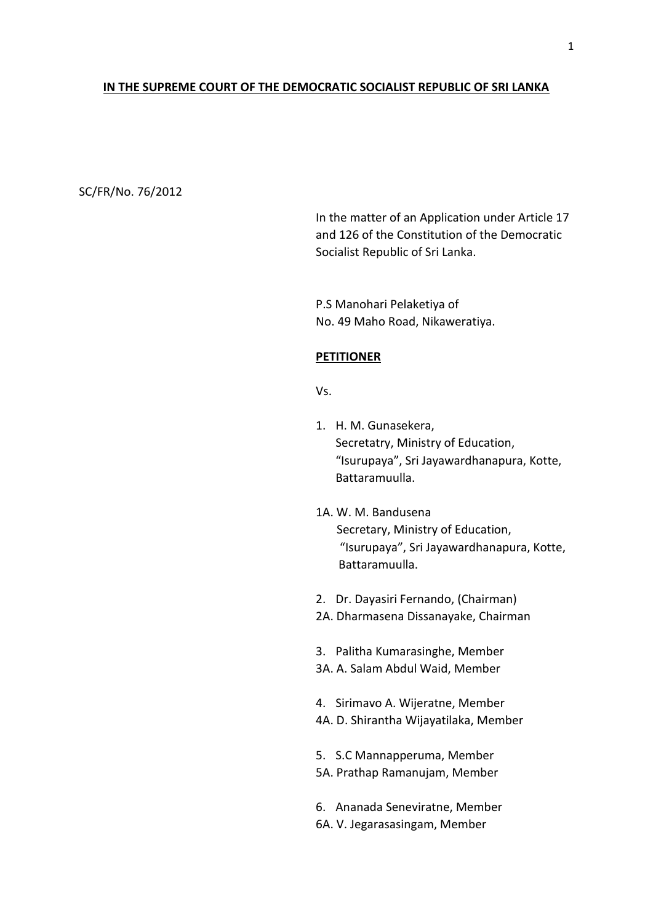## **IN THE SUPREME COURT OF THE DEMOCRATIC SOCIALIST REPUBLIC OF SRI LANKA**

## SC/FR/No. 76/2012

In the matter of an Application under Article 17 and 126 of the Constitution of the Democratic Socialist Republic of Sri Lanka.

P.S Manohari Pelaketiya of No. 49 Maho Road, Nikaweratiya.

#### **PETITIONER**

## Vs.

- 1. H. M. Gunasekera, Secretatry, Ministry of Education, "Isurupaya", Sri Jayawardhanapura, Kotte, Battaramuulla.
- 1A. W. M. Bandusena Secretary, Ministry of Education, "Isurupaya", Sri Jayawardhanapura, Kotte, Battaramuulla.
- 2. Dr. Dayasiri Fernando, (Chairman)
- 2A. Dharmasena Dissanayake, Chairman
- 3. Palitha Kumarasinghe, Member
- 3A. A. Salam Abdul Waid, Member
- 4. Sirimavo A. Wijeratne, Member
- 4A. D. Shirantha Wijayatilaka, Member

5. S.C Mannapperuma, Member 5A. Prathap Ramanujam, Member

- 6. Ananada Seneviratne, Member
- 6A. V. Jegarasasingam, Member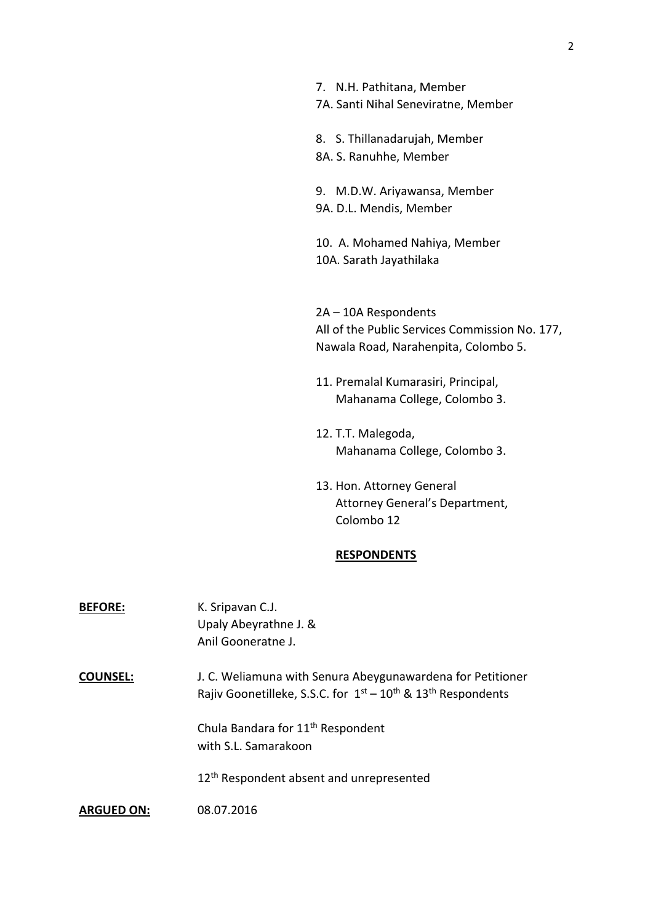| 7. N.H. Pathitana, Member<br>7A. Santi Nihal Seneviratne, Member                                               |
|----------------------------------------------------------------------------------------------------------------|
| 8. S. Thillanadarujah, Member<br>8A. S. Ranuhhe, Member                                                        |
| 9. M.D.W. Ariyawansa, Member<br>9A. D.L. Mendis, Member                                                        |
| 10. A. Mohamed Nahiya, Member<br>10A. Sarath Jayathilaka                                                       |
| 2A - 10A Respondents<br>All of the Public Services Commission No. 177,<br>Nawala Road, Narahenpita, Colombo 5. |
| 11. Premalal Kumarasiri, Principal,<br>Mahanama College, Colombo 3.                                            |

- 12. T.T. Malegoda, Mahanama College, Colombo 3.
- 13. Hon. Attorney General Attorney General's Department, Colombo 12

# **RESPONDENTS**

| <b>BEFORE:</b>    | K. Sripavan C.J.<br>Upaly Abeyrathne J. &<br>Anil Gooneratne J.                                                                |
|-------------------|--------------------------------------------------------------------------------------------------------------------------------|
| <b>COUNSEL:</b>   | J. C. Weliamuna with Senura Abeygunawardena for Petitioner<br>Rajiv Goonetilleke, S.S.C. for $1st - 10th$ & $13th$ Respondents |
|                   | Chula Bandara for 11 <sup>th</sup> Respondent<br>with S.L. Samarakoon                                                          |
|                   | 12 <sup>th</sup> Respondent absent and unrepresented                                                                           |
| <b>ARGUED ON:</b> | 08.07.2016                                                                                                                     |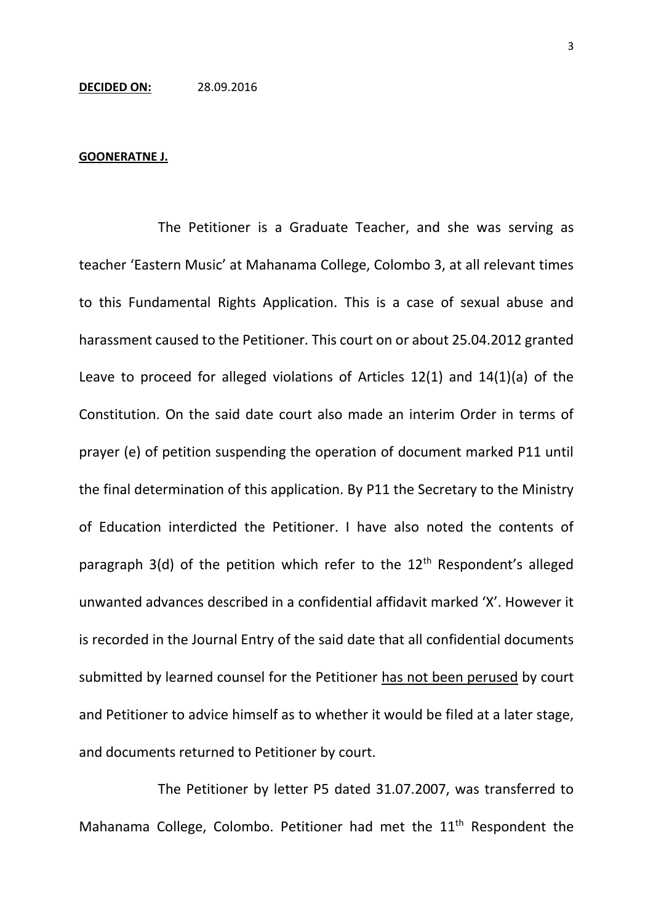# **DECIDED ON:** 28.09.2016

#### **GOONERATNE J.**

The Petitioner is a Graduate Teacher, and she was serving as teacher 'Eastern Music' at Mahanama College, Colombo 3, at all relevant times to this Fundamental Rights Application. This is a case of sexual abuse and harassment caused to the Petitioner. This court on or about 25.04.2012 granted Leave to proceed for alleged violations of Articles 12(1) and 14(1)(a) of the Constitution. On the said date court also made an interim Order in terms of prayer (e) of petition suspending the operation of document marked P11 until the final determination of this application. By P11 the Secretary to the Ministry of Education interdicted the Petitioner. I have also noted the contents of paragraph 3(d) of the petition which refer to the  $12<sup>th</sup>$  Respondent's alleged unwanted advances described in a confidential affidavit marked 'X'. However it is recorded in the Journal Entry of the said date that all confidential documents submitted by learned counsel for the Petitioner has not been perused by court and Petitioner to advice himself as to whether it would be filed at a later stage, and documents returned to Petitioner by court.

The Petitioner by letter P5 dated 31.07.2007, was transferred to Mahanama College, Colombo. Petitioner had met the 11<sup>th</sup> Respondent the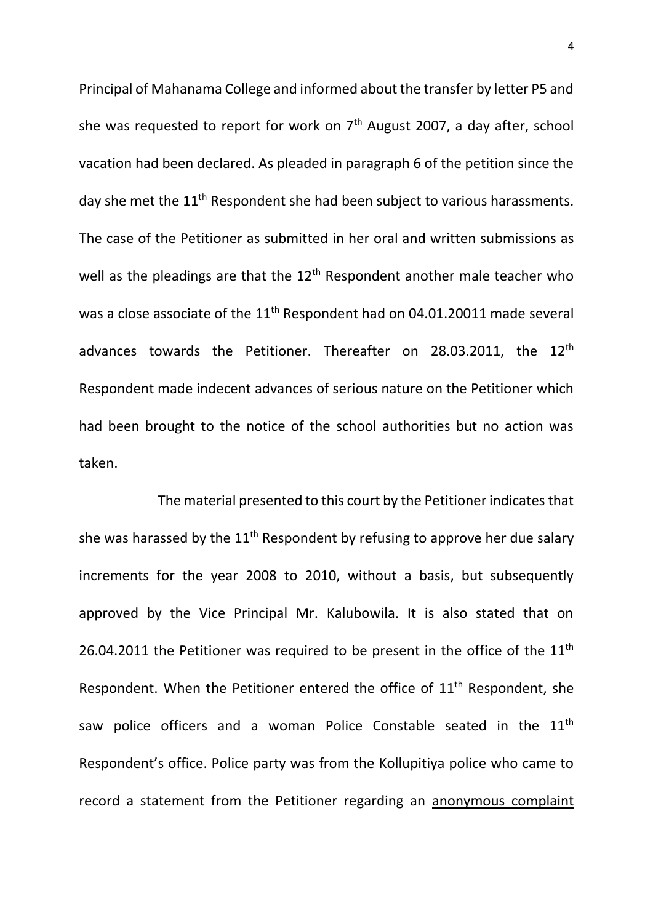Principal of Mahanama College and informed about the transfer by letter P5 and she was requested to report for work on  $7<sup>th</sup>$  August 2007, a day after, school vacation had been declared. As pleaded in paragraph 6 of the petition since the day she met the 11<sup>th</sup> Respondent she had been subject to various harassments. The case of the Petitioner as submitted in her oral and written submissions as well as the pleadings are that the  $12<sup>th</sup>$  Respondent another male teacher who was a close associate of the 11<sup>th</sup> Respondent had on 04.01.20011 made several advances towards the Petitioner. Thereafter on 28.03.2011, the 12<sup>th</sup> Respondent made indecent advances of serious nature on the Petitioner which had been brought to the notice of the school authorities but no action was taken.

The material presented to this court by the Petitioner indicates that she was harassed by the 11<sup>th</sup> Respondent by refusing to approve her due salary increments for the year 2008 to 2010, without a basis, but subsequently approved by the Vice Principal Mr. Kalubowila. It is also stated that on 26.04.2011 the Petitioner was required to be present in the office of the  $11<sup>th</sup>$ Respondent. When the Petitioner entered the office of 11<sup>th</sup> Respondent, she saw police officers and a woman Police Constable seated in the 11<sup>th</sup> Respondent's office. Police party was from the Kollupitiya police who came to record a statement from the Petitioner regarding an anonymous complaint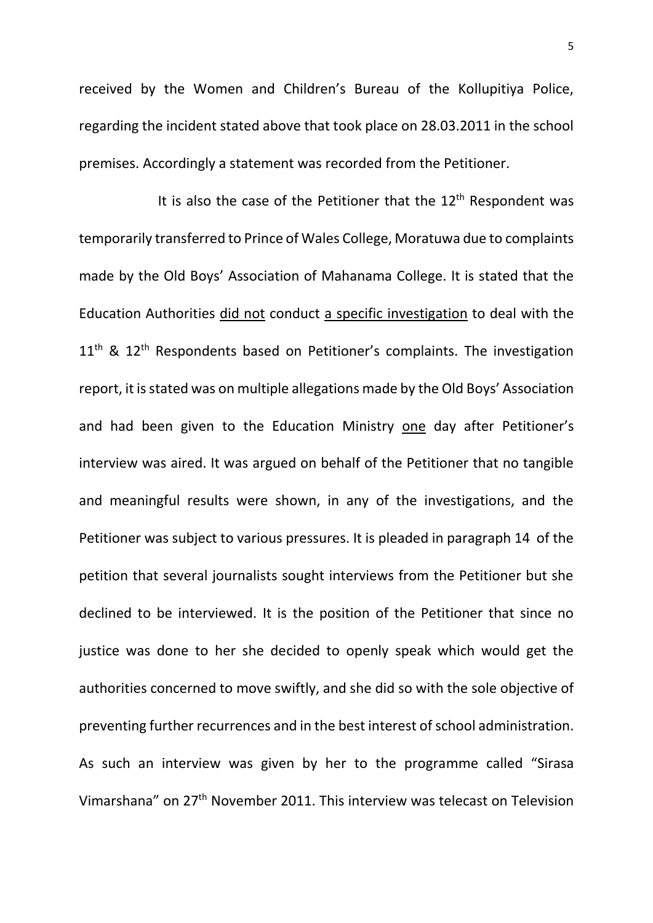received by the Women and Children's Bureau of the Kollupitiya Police, regarding the incident stated above that took place on 28.03.2011 in the school premises. Accordingly a statement was recorded from the Petitioner.

It is also the case of the Petitioner that the  $12<sup>th</sup>$  Respondent was temporarily transferred to Prince of Wales College, Moratuwa due to complaints made by the Old Boys' Association of Mahanama College. It is stated that the Education Authorities did not conduct a specific investigation to deal with the  $11<sup>th</sup>$  &  $12<sup>th</sup>$  Respondents based on Petitioner's complaints. The investigation report, it is stated was on multiple allegations made by the Old Boys' Association and had been given to the Education Ministry one day after Petitioner's interview was aired. It was argued on behalf of the Petitioner that no tangible and meaningful results were shown, in any of the investigations, and the Petitioner was subject to various pressures. It is pleaded in paragraph 14 of the petition that several journalists sought interviews from the Petitioner but she declined to be interviewed. It is the position of the Petitioner that since no justice was done to her she decided to openly speak which would get the authorities concerned to move swiftly, and she did so with the sole objective of preventing further recurrences and in the best interest of school administration. As such an interview was given by her to the programme called "Sirasa Vimarshana" on 27th November 2011. This interview was telecast on Television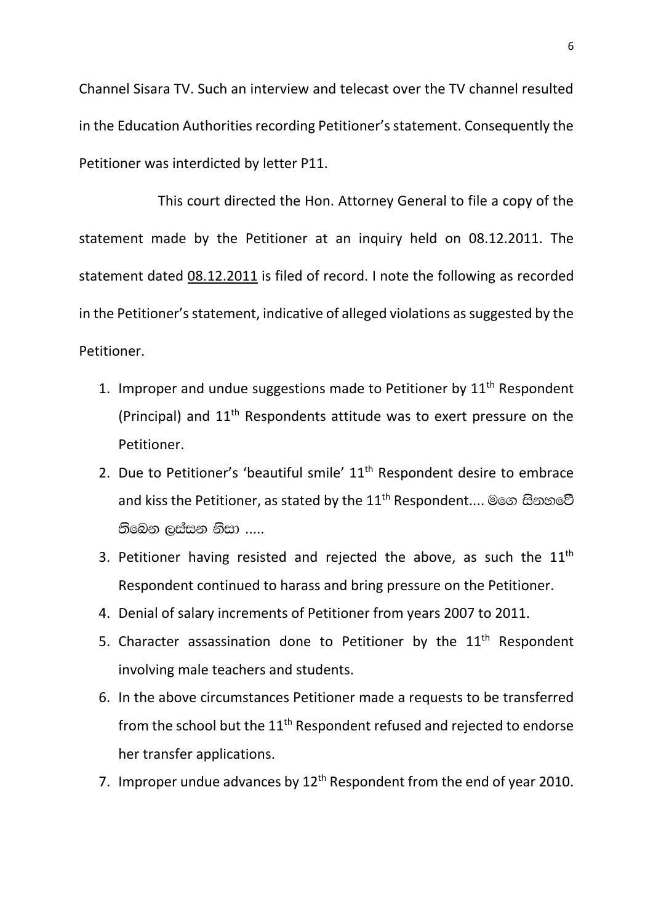Channel Sisara TV. Such an interview and telecast over the TV channel resulted in the Education Authorities recording Petitioner's statement. Consequently the Petitioner was interdicted by letter P11.

This court directed the Hon. Attorney General to file a copy of the statement made by the Petitioner at an inquiry held on 08.12.2011. The statement dated 08.12.2011 is filed of record. I note the following as recorded in the Petitioner's statement, indicative of alleged violations as suggested by the Petitioner.

- 1. Improper and undue suggestions made to Petitioner by  $11<sup>th</sup>$  Respondent (Principal) and 11th Respondents attitude was to exert pressure on the Petitioner.
- 2. Due to Petitioner's 'beautiful smile'  $11<sup>th</sup>$  Respondent desire to embrace and kiss the Petitioner, as stated by the 11<sup>th</sup> Respondent.... මගෙ සිනහවේ  $\mathfrak S$ බෙන ලස්සන නිසා .....
- 3. Petitioner having resisted and rejected the above, as such the  $11<sup>th</sup>$ Respondent continued to harass and bring pressure on the Petitioner.
- 4. Denial of salary increments of Petitioner from years 2007 to 2011.
- 5. Character assassination done to Petitioner by the  $11<sup>th</sup>$  Respondent involving male teachers and students.
- 6. In the above circumstances Petitioner made a requests to be transferred from the school but the 11<sup>th</sup> Respondent refused and rejected to endorse her transfer applications.
- 7. Improper undue advances by 12<sup>th</sup> Respondent from the end of year 2010.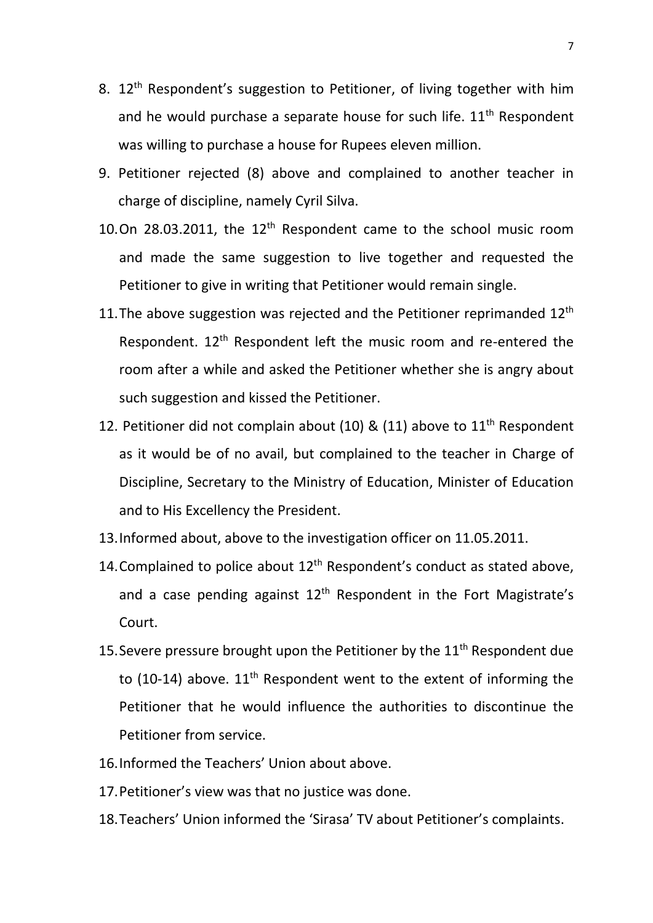- 8. 12<sup>th</sup> Respondent's suggestion to Petitioner, of living together with him and he would purchase a separate house for such life.  $11<sup>th</sup>$  Respondent was willing to purchase a house for Rupees eleven million.
- 9. Petitioner rejected (8) above and complained to another teacher in charge of discipline, namely Cyril Silva.
- 10.On 28.03.2011, the  $12<sup>th</sup>$  Respondent came to the school music room and made the same suggestion to live together and requested the Petitioner to give in writing that Petitioner would remain single.
- 11. The above suggestion was rejected and the Petitioner reprimanded  $12<sup>th</sup>$ Respondent. 12<sup>th</sup> Respondent left the music room and re-entered the room after a while and asked the Petitioner whether she is angry about such suggestion and kissed the Petitioner.
- 12. Petitioner did not complain about (10) & (11) above to  $11<sup>th</sup>$  Respondent as it would be of no avail, but complained to the teacher in Charge of Discipline, Secretary to the Ministry of Education, Minister of Education and to His Excellency the President.
- 13.Informed about, above to the investigation officer on 11.05.2011.
- 14. Complained to police about 12<sup>th</sup> Respondent's conduct as stated above, and a case pending against  $12<sup>th</sup>$  Respondent in the Fort Magistrate's Court.
- 15. Severe pressure brought upon the Petitioner by the  $11<sup>th</sup>$  Respondent due to (10-14) above.  $11<sup>th</sup>$  Respondent went to the extent of informing the Petitioner that he would influence the authorities to discontinue the Petitioner from service.
- 16.Informed the Teachers' Union about above.
- 17.Petitioner's view was that no justice was done.
- 18.Teachers' Union informed the 'Sirasa' TV about Petitioner's complaints.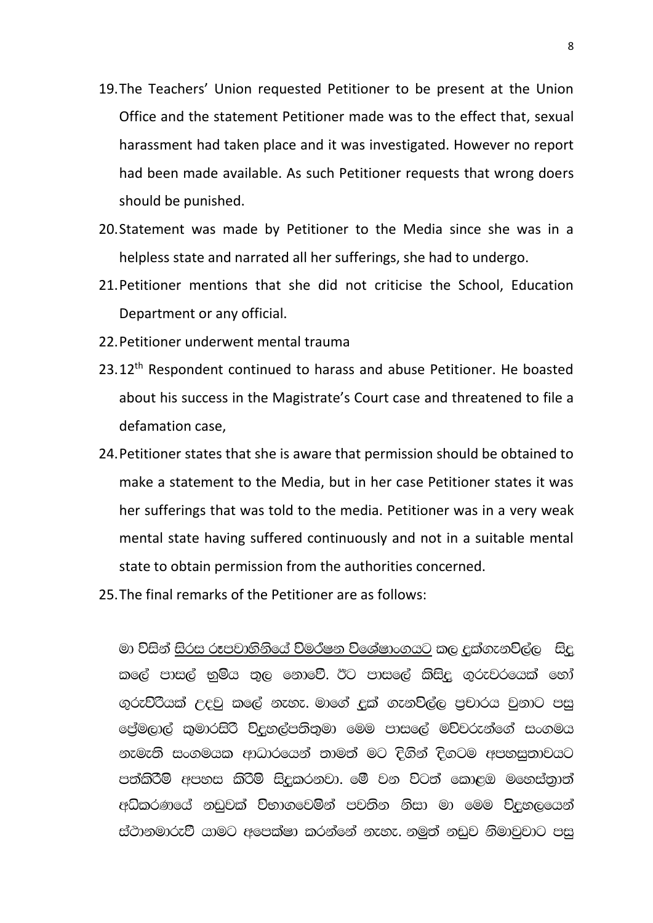- 19.The Teachers' Union requested Petitioner to be present at the Union Office and the statement Petitioner made was to the effect that, sexual harassment had taken place and it was investigated. However no report had been made available. As such Petitioner requests that wrong doers should be punished.
- 20.Statement was made by Petitioner to the Media since she was in a helpless state and narrated all her sufferings, she had to undergo.
- 21.Petitioner mentions that she did not criticise the School, Education Department or any official.
- 22.Petitioner underwent mental trauma
- 23.12<sup>th</sup> Respondent continued to harass and abuse Petitioner. He boasted about his success in the Magistrate's Court case and threatened to file a defamation case,
- 24.Petitioner states that she is aware that permission should be obtained to make a statement to the Media, but in her case Petitioner states it was her sufferings that was told to the media. Petitioner was in a very weak mental state having suffered continuously and not in a suitable mental state to obtain permission from the authorities concerned.
- 25.The final remarks of the Petitioner are as follows:

මා විසින් සිරස රූපවාහිනියේ විමර්ෂන විශේෂාංගයට කල දුක්ගැනවිල්ල සිදු l කලේ පාසල් භුමිය තුල නොවේ. ඊට පාසලේ කිසිදු ගුරුවරයෙක් හෝ ගුරු<mark>විරියක් උදවු කලේ නැහැ. මාගේ දුක් ගැනවිල්ල පුචාරය වුනාට පසු</mark> ලේුමලාල් කුමාරසිරි ව්දුහල්පතිතුමා මෙම පාසලේ මව්වරුන්ගේ සංගමය නැමැති සංගමයක ආධාරයෙන් තාමත් මට දිගින් දිගටම අපහසුතාවයට පත්කිරීම් අපහස කිරීම් සිදුකරනවා. මේ වන විටත් කොළඹ මහෙස්තාත් අධිකරණයේ නඩුවක් විභාගවෙමින් පවතින නිසා මා මෙම විදුහලයෙන් ස්ථානමාරුවී යාමට අපෙක්ෂා කරන්නේ නැහැ. නමුත් නඩුව නිමාවුවාට පසු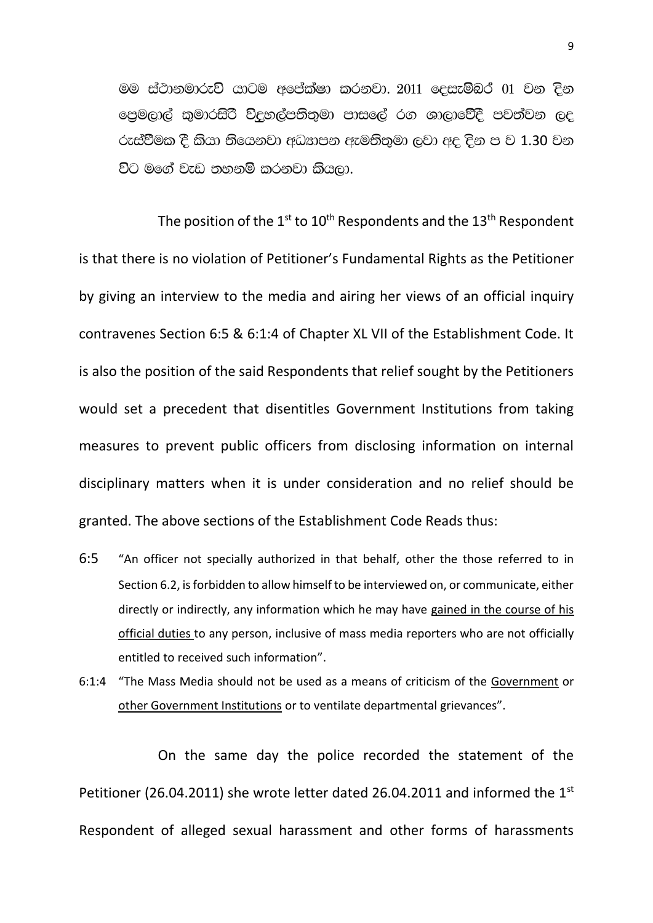මම ස්ථානමාරුව් යාටම අපේක්ෂා කරනවා. 2011 දෙසැම්බර් 01 වන දින පෙමලාල් කුමාරසිරි විදුහල්පතිතුමා පාසලේ රග ශාලාවේදී පවත්වන ලද රුස්වීමක දී කියා තියෙනවා අධඐාපන ඇමතිතමා ලවා අද දින ප ව 1.30 වන විට මගේ වැඩ තහනම් කරනවා කියලා.

The position of the  $1^{st}$  to  $10^{th}$  Respondents and the  $13^{th}$  Respondent is that there is no violation of Petitioner's Fundamental Rights as the Petitioner by giving an interview to the media and airing her views of an official inquiry contravenes Section 6:5 & 6:1:4 of Chapter XL VII of the Establishment Code. It is also the position of the said Respondents that relief sought by the Petitioners would set a precedent that disentitles Government Institutions from taking measures to prevent public officers from disclosing information on internal disciplinary matters when it is under consideration and no relief should be granted. The above sections of the Establishment Code Reads thus:

- 6:5 "An officer not specially authorized in that behalf, other the those referred to in Section 6.2, is forbidden to allow himself to be interviewed on, or communicate, either directly or indirectly, any information which he may have gained in the course of his official duties to any person, inclusive of mass media reporters who are not officially entitled to received such information".
- 6:1:4 "The Mass Media should not be used as a means of criticism of the Government or other Government Institutions or to ventilate departmental grievances".

On the same day the police recorded the statement of the Petitioner (26.04.2011) she wrote letter dated 26.04.2011 and informed the  $1<sup>st</sup>$ Respondent of alleged sexual harassment and other forms of harassments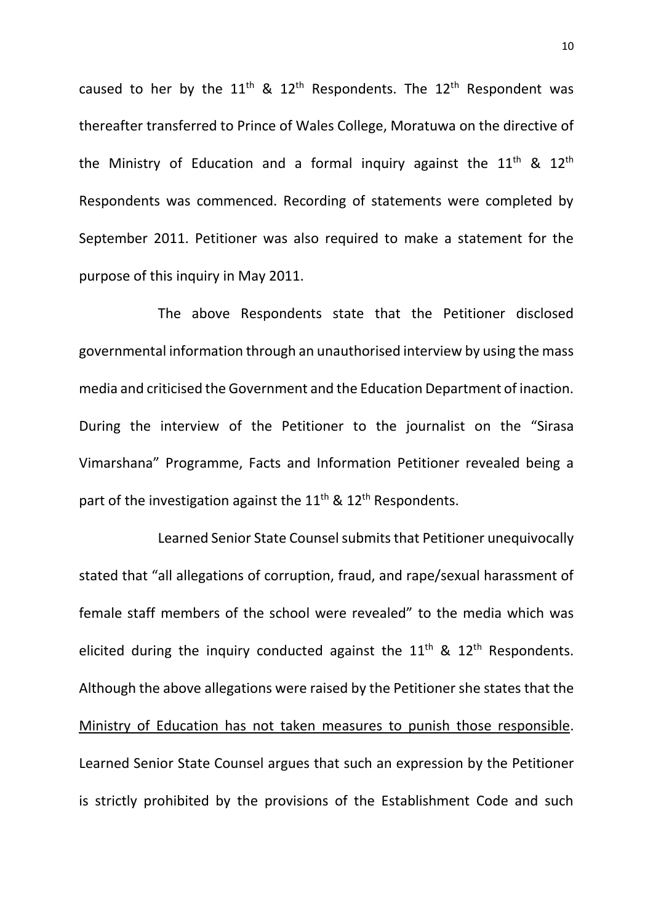caused to her by the  $11^{th}$  &  $12^{th}$  Respondents. The  $12^{th}$  Respondent was thereafter transferred to Prince of Wales College, Moratuwa on the directive of the Ministry of Education and a formal inquiry against the  $11<sup>th</sup>$  &  $12<sup>th</sup>$ Respondents was commenced. Recording of statements were completed by September 2011. Petitioner was also required to make a statement for the purpose of this inquiry in May 2011.

The above Respondents state that the Petitioner disclosed governmental information through an unauthorised interview by using the mass media and criticised the Government and the Education Department of inaction. During the interview of the Petitioner to the journalist on the "Sirasa Vimarshana" Programme, Facts and Information Petitioner revealed being a part of the investigation against the  $11^{th}$  &  $12^{th}$  Respondents.

Learned Senior State Counsel submits that Petitioner unequivocally stated that "all allegations of corruption, fraud, and rape/sexual harassment of female staff members of the school were revealed" to the media which was elicited during the inquiry conducted against the  $11<sup>th</sup>$  &  $12<sup>th</sup>$  Respondents. Although the above allegations were raised by the Petitioner she states that the Ministry of Education has not taken measures to punish those responsible. Learned Senior State Counsel argues that such an expression by the Petitioner is strictly prohibited by the provisions of the Establishment Code and such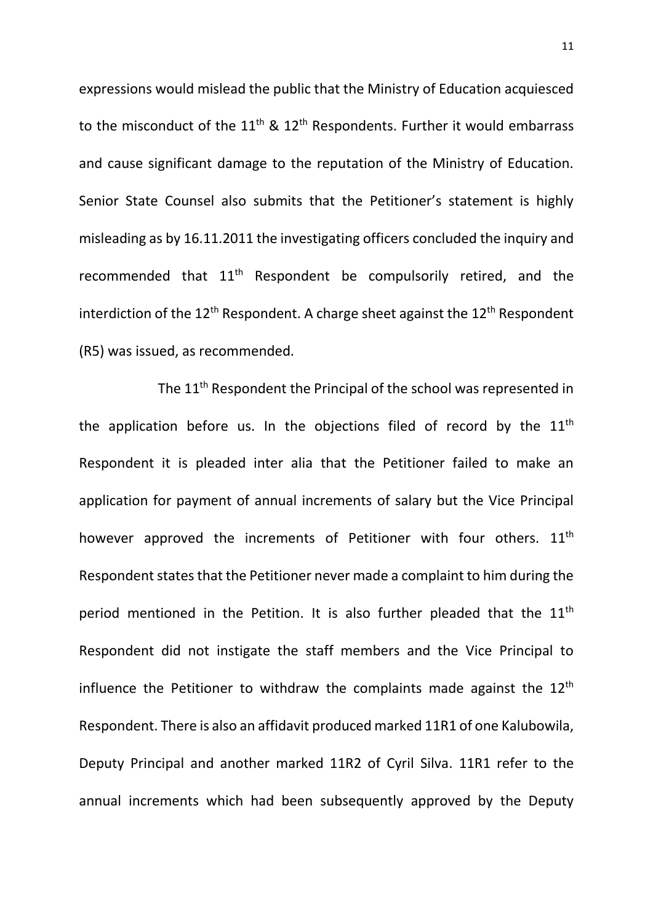expressions would mislead the public that the Ministry of Education acquiesced to the misconduct of the  $11<sup>th</sup>$  &  $12<sup>th</sup>$  Respondents. Further it would embarrass and cause significant damage to the reputation of the Ministry of Education. Senior State Counsel also submits that the Petitioner's statement is highly misleading as by 16.11.2011 the investigating officers concluded the inquiry and recommended that 11th Respondent be compulsorily retired, and the interdiction of the  $12^{th}$  Respondent. A charge sheet against the  $12^{th}$  Respondent (R5) was issued, as recommended.

The 11<sup>th</sup> Respondent the Principal of the school was represented in the application before us. In the objections filed of record by the  $11<sup>th</sup>$ Respondent it is pleaded inter alia that the Petitioner failed to make an application for payment of annual increments of salary but the Vice Principal however approved the increments of Petitioner with four others. 11<sup>th</sup> Respondent states that the Petitioner never made a complaint to him during the period mentioned in the Petition. It is also further pleaded that the  $11<sup>th</sup>$ Respondent did not instigate the staff members and the Vice Principal to influence the Petitioner to withdraw the complaints made against the  $12<sup>th</sup>$ Respondent. There is also an affidavit produced marked 11R1 of one Kalubowila, Deputy Principal and another marked 11R2 of Cyril Silva. 11R1 refer to the annual increments which had been subsequently approved by the Deputy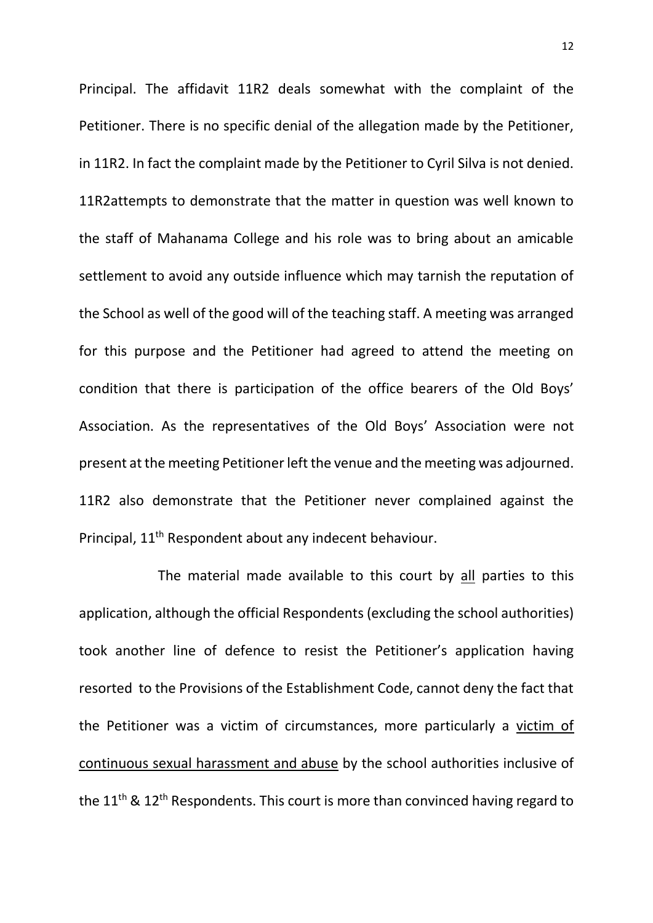Principal. The affidavit 11R2 deals somewhat with the complaint of the Petitioner. There is no specific denial of the allegation made by the Petitioner, in 11R2. In fact the complaint made by the Petitioner to Cyril Silva is not denied. 11R2attempts to demonstrate that the matter in question was well known to the staff of Mahanama College and his role was to bring about an amicable settlement to avoid any outside influence which may tarnish the reputation of the School as well of the good will of the teaching staff. A meeting was arranged for this purpose and the Petitioner had agreed to attend the meeting on condition that there is participation of the office bearers of the Old Boys' Association. As the representatives of the Old Boys' Association were not present at the meeting Petitioner left the venue and the meeting was adjourned. 11R2 also demonstrate that the Petitioner never complained against the Principal, 11th Respondent about any indecent behaviour.

The material made available to this court by all parties to this application, although the official Respondents (excluding the school authorities) took another line of defence to resist the Petitioner's application having resorted to the Provisions of the Establishment Code, cannot deny the fact that the Petitioner was a victim of circumstances, more particularly a victim of continuous sexual harassment and abuse by the school authorities inclusive of the  $11<sup>th</sup>$  &  $12<sup>th</sup>$  Respondents. This court is more than convinced having regard to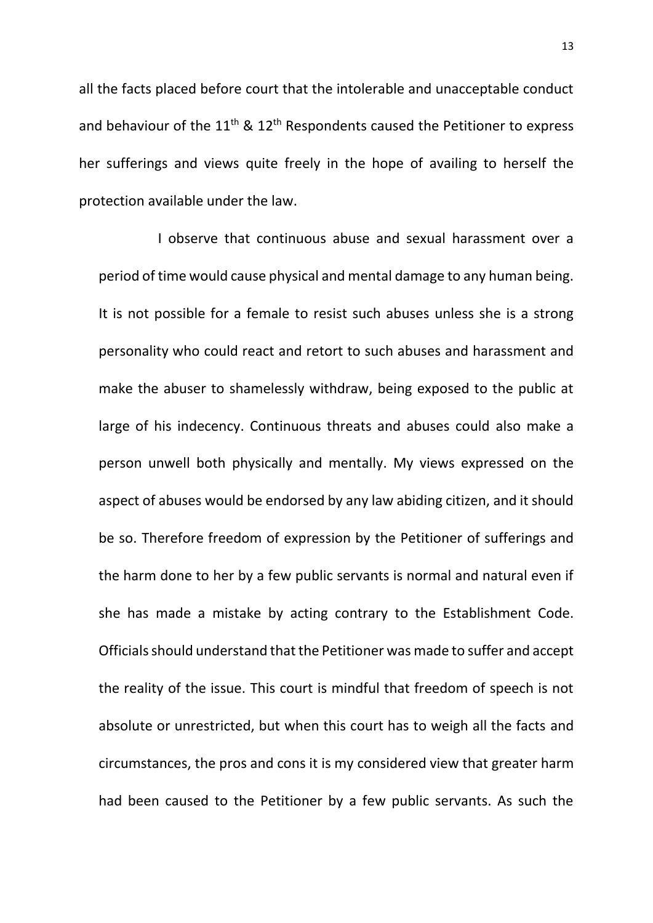all the facts placed before court that the intolerable and unacceptable conduct and behaviour of the  $11<sup>th</sup>$  &  $12<sup>th</sup>$  Respondents caused the Petitioner to express her sufferings and views quite freely in the hope of availing to herself the protection available under the law.

I observe that continuous abuse and sexual harassment over a period of time would cause physical and mental damage to any human being. It is not possible for a female to resist such abuses unless she is a strong personality who could react and retort to such abuses and harassment and make the abuser to shamelessly withdraw, being exposed to the public at large of his indecency. Continuous threats and abuses could also make a person unwell both physically and mentally. My views expressed on the aspect of abuses would be endorsed by any law abiding citizen, and it should be so. Therefore freedom of expression by the Petitioner of sufferings and the harm done to her by a few public servants is normal and natural even if she has made a mistake by acting contrary to the Establishment Code. Officials should understand that the Petitioner was made to suffer and accept the reality of the issue. This court is mindful that freedom of speech is not absolute or unrestricted, but when this court has to weigh all the facts and circumstances, the pros and cons it is my considered view that greater harm had been caused to the Petitioner by a few public servants. As such the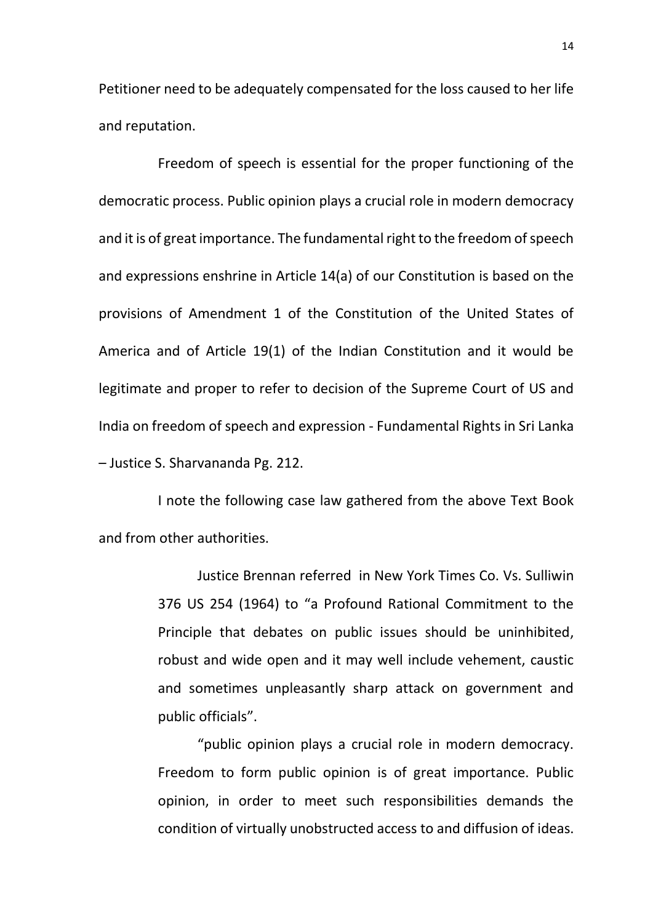Petitioner need to be adequately compensated for the loss caused to her life and reputation.

Freedom of speech is essential for the proper functioning of the democratic process. Public opinion plays a crucial role in modern democracy and it is of great importance. The fundamental right to the freedom of speech and expressions enshrine in Article 14(a) of our Constitution is based on the provisions of Amendment 1 of the Constitution of the United States of America and of Article 19(1) of the Indian Constitution and it would be legitimate and proper to refer to decision of the Supreme Court of US and India on freedom of speech and expression - Fundamental Rights in Sri Lanka – Justice S. Sharvananda Pg. 212.

I note the following case law gathered from the above Text Book and from other authorities.

> Justice Brennan referred in New York Times Co. Vs. Sulliwin 376 US 254 (1964) to "a Profound Rational Commitment to the Principle that debates on public issues should be uninhibited, robust and wide open and it may well include vehement, caustic and sometimes unpleasantly sharp attack on government and public officials".

> "public opinion plays a crucial role in modern democracy. Freedom to form public opinion is of great importance. Public opinion, in order to meet such responsibilities demands the condition of virtually unobstructed access to and diffusion of ideas.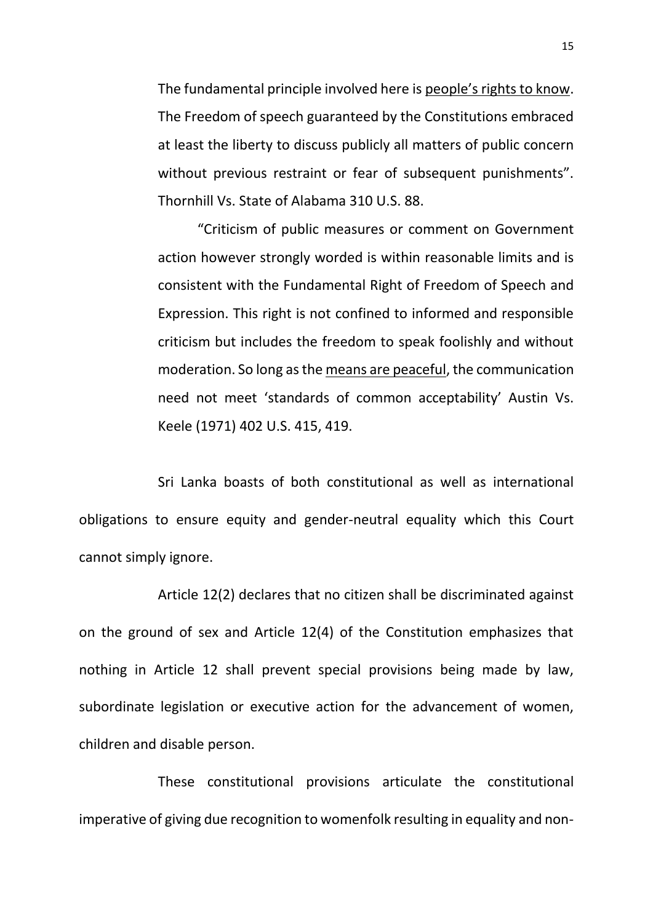The fundamental principle involved here is people's rights to know. The Freedom of speech guaranteed by the Constitutions embraced at least the liberty to discuss publicly all matters of public concern without previous restraint or fear of subsequent punishments". Thornhill Vs. State of Alabama 310 U.S. 88.

"Criticism of public measures or comment on Government action however strongly worded is within reasonable limits and is consistent with the Fundamental Right of Freedom of Speech and Expression. This right is not confined to informed and responsible criticism but includes the freedom to speak foolishly and without moderation. So long as the means are peaceful, the communication need not meet 'standards of common acceptability' Austin Vs. Keele (1971) 402 U.S. 415, 419.

Sri Lanka boasts of both constitutional as well as international obligations to ensure equity and gender-neutral equality which this Court cannot simply ignore.

Article 12(2) declares that no citizen shall be discriminated against on the ground of sex and Article 12(4) of the Constitution emphasizes that nothing in Article 12 shall prevent special provisions being made by law, subordinate legislation or executive action for the advancement of women, children and disable person.

These constitutional provisions articulate the constitutional imperative of giving due recognition to womenfolk resulting in equality and non-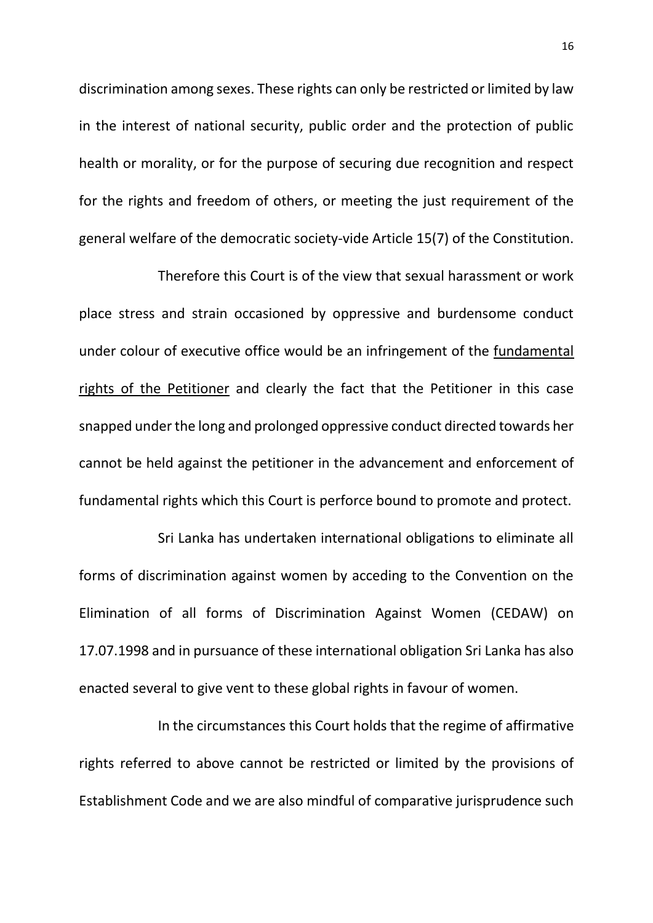discrimination among sexes. These rights can only be restricted or limited by law in the interest of national security, public order and the protection of public health or morality, or for the purpose of securing due recognition and respect for the rights and freedom of others, or meeting the just requirement of the general welfare of the democratic society-vide Article 15(7) of the Constitution.

Therefore this Court is of the view that sexual harassment or work place stress and strain occasioned by oppressive and burdensome conduct under colour of executive office would be an infringement of the fundamental rights of the Petitioner and clearly the fact that the Petitioner in this case snapped under the long and prolonged oppressive conduct directed towards her cannot be held against the petitioner in the advancement and enforcement of fundamental rights which this Court is perforce bound to promote and protect.

Sri Lanka has undertaken international obligations to eliminate all forms of discrimination against women by acceding to the Convention on the Elimination of all forms of Discrimination Against Women (CEDAW) on 17.07.1998 and in pursuance of these international obligation Sri Lanka has also enacted several to give vent to these global rights in favour of women.

In the circumstances this Court holds that the regime of affirmative rights referred to above cannot be restricted or limited by the provisions of Establishment Code and we are also mindful of comparative jurisprudence such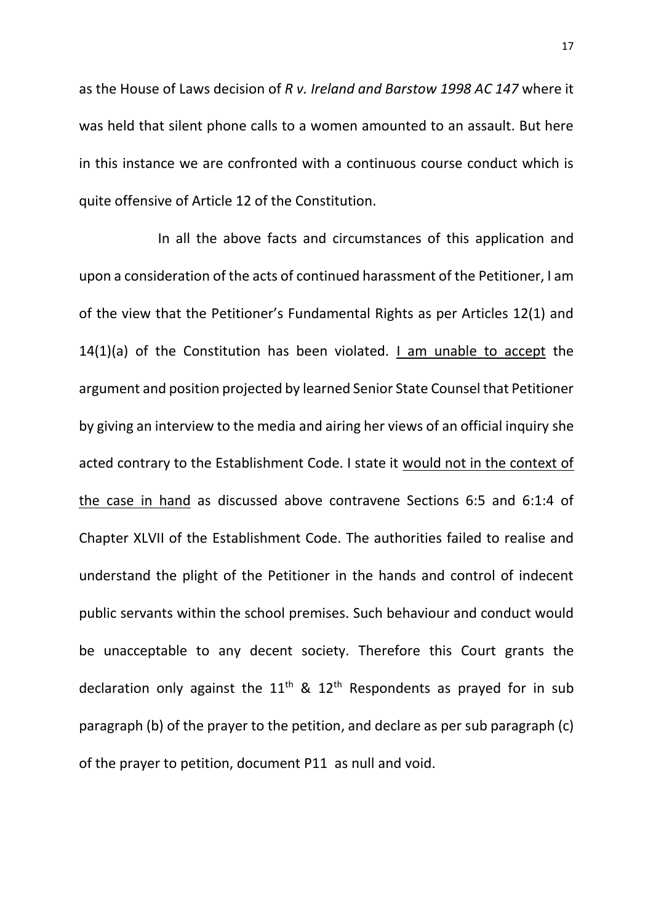as the House of Laws decision of *R v. Ireland and Barstow 1998 AC 147* where it was held that silent phone calls to a women amounted to an assault. But here in this instance we are confronted with a continuous course conduct which is quite offensive of Article 12 of the Constitution.

In all the above facts and circumstances of this application and upon a consideration of the acts of continued harassment of the Petitioner, I am of the view that the Petitioner's Fundamental Rights as per Articles 12(1) and 14(1)(a) of the Constitution has been violated. I am unable to accept the argument and position projected by learned Senior State Counsel that Petitioner by giving an interview to the media and airing her views of an official inquiry she acted contrary to the Establishment Code. I state it would not in the context of the case in hand as discussed above contravene Sections 6:5 and 6:1:4 of Chapter XLVII of the Establishment Code. The authorities failed to realise and understand the plight of the Petitioner in the hands and control of indecent public servants within the school premises. Such behaviour and conduct would be unacceptable to any decent society. Therefore this Court grants the declaration only against the  $11<sup>th</sup>$  &  $12<sup>th</sup>$  Respondents as prayed for in sub paragraph (b) of the prayer to the petition, and declare as per sub paragraph (c) of the prayer to petition, document P11 as null and void.